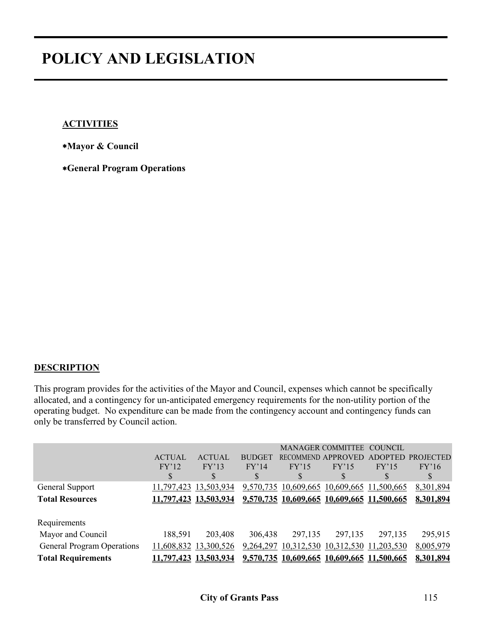#### **ACTIVITIES**

∗**Mayor & Council**

∗**General Program Operations**

#### **DESCRIPTION**

This program provides for the activities of the Mayor and Council, expenses which cannot be specifically allocated, and a contingency for un-anticipated emergency requirements for the non-utility portion of the operating budget. No expenditure can be made from the contingency account and contingency funds can only be transferred by Council action.

|                                   | <b>ACTUAL</b><br>FY'12<br>S | <b>ACTUAL</b><br>FY'13<br>S | <b>BUDGET</b><br>FY'14 | FY'15      | <b>MANAGER COMMITTEE</b><br>RECOMMEND APPROVED<br>FY'15<br>D | <b>COUNCIL</b><br>FY'15<br>۰D | ADOPTED PROJECTED<br>FY'16<br>S |
|-----------------------------------|-----------------------------|-----------------------------|------------------------|------------|--------------------------------------------------------------|-------------------------------|---------------------------------|
| General Support                   |                             | 11,797,423 13,503,934       |                        |            | 9,570,735 10,609,665 10,609,665 11,500,665                   |                               | 8,301,894                       |
| <b>Total Resources</b>            |                             | 11,797,423 13,503,934       |                        |            | 9,570,735 10,609,665 10,609,665 11,500,665                   |                               | 8,301,894                       |
|                                   |                             |                             |                        |            |                                                              |                               |                                 |
| Requirements                      |                             |                             |                        |            |                                                              |                               |                                 |
| Mayor and Council                 | 188,591                     | 203,408                     | 306,438                | 297,135    | 297,135                                                      | 297,135                       | 295,915                         |
| <b>General Program Operations</b> |                             | 11,608,832 13,300,526       | 9,264,297              | 10,312,530 | 10,312,530 11,203,530                                        |                               | 8,005,979                       |
| <b>Total Requirements</b>         |                             | 1,797,423 13,503,934        |                        |            | 9,570,735 10,609,665 10,609,665 11,500,665                   |                               | 8,301,894                       |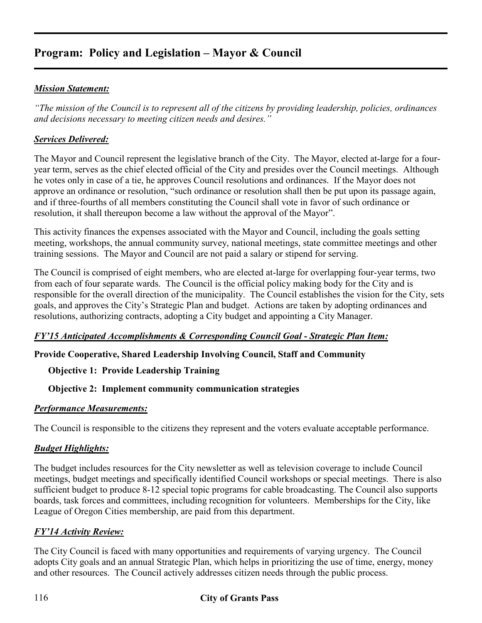# **Program: Policy and Legislation – Mayor & Council**

#### *Mission Statement:*

*"The mission of the Council is to represent all of the citizens by providing leadership, policies, ordinances and decisions necessary to meeting citizen needs and desires."* 

#### *Services Delivered:*

The Mayor and Council represent the legislative branch of the City. The Mayor, elected at-large for a fouryear term, serves as the chief elected official of the City and presides over the Council meetings. Although he votes only in case of a tie, he approves Council resolutions and ordinances. If the Mayor does not approve an ordinance or resolution, "such ordinance or resolution shall then be put upon its passage again, and if three-fourths of all members constituting the Council shall vote in favor of such ordinance or resolution, it shall thereupon become a law without the approval of the Mayor".

This activity finances the expenses associated with the Mayor and Council, including the goals setting meeting, workshops, the annual community survey, national meetings, state committee meetings and other training sessions. The Mayor and Council are not paid a salary or stipend for serving.

The Council is comprised of eight members, who are elected at-large for overlapping four-year terms, two from each of four separate wards. The Council is the official policy making body for the City and is responsible for the overall direction of the municipality. The Council establishes the vision for the City, sets goals, and approves the City's Strategic Plan and budget. Actions are taken by adopting ordinances and resolutions, authorizing contracts, adopting a City budget and appointing a City Manager.

#### *FY'15 Anticipated Accomplishments & Corresponding Council Goal - Strategic Plan Item:*

## **Provide Cooperative, Shared Leadership Involving Council, Staff and Community**

#### **Objective 1: Provide Leadership Training**

#### **Objective 2: Implement community communication strategies**

#### *Performance Measurements:*

The Council is responsible to the citizens they represent and the voters evaluate acceptable performance.

#### *Budget Highlights:*

The budget includes resources for the City newsletter as well as television coverage to include Council meetings, budget meetings and specifically identified Council workshops or special meetings. There is also sufficient budget to produce 8-12 special topic programs for cable broadcasting. The Council also supports boards, task forces and committees, including recognition for volunteers. Memberships for the City, like League of Oregon Cities membership, are paid from this department.

## *FY'14 Activity Review:*

The City Council is faced with many opportunities and requirements of varying urgency. The Council adopts City goals and an annual Strategic Plan, which helps in prioritizing the use of time, energy, money and other resources. The Council actively addresses citizen needs through the public process.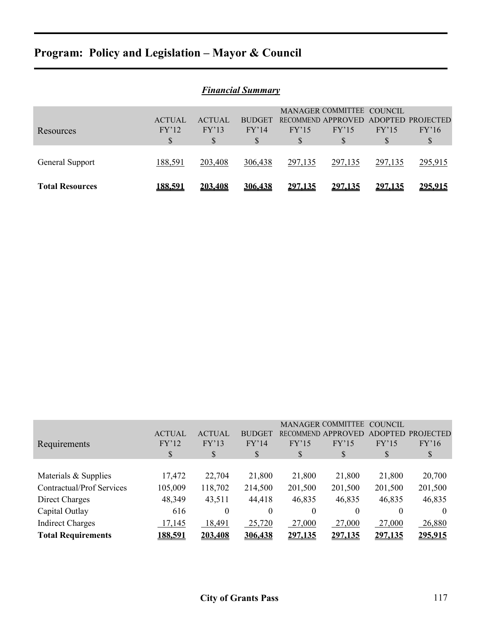# **Program: Policy and Legislation – Mayor & Council**

| <b>Financial Summary</b> |                |               |               |         |                                      |                |         |  |  |
|--------------------------|----------------|---------------|---------------|---------|--------------------------------------|----------------|---------|--|--|
|                          |                |               |               |         | MANAGER COMMITTEE COUNCIL            |                |         |  |  |
|                          | <b>ACTUAL</b>  | <b>ACTUAL</b> | <b>BUDGET</b> |         | RECOMMEND APPROVED ADOPTED PROJECTED |                |         |  |  |
| Resources                | FY'12          | FY'13         | FY'14         | FY'15   | FY'15                                | FY'15          | FY'16   |  |  |
|                          | \$             | S             | \$            | S       | S                                    | S              | S       |  |  |
|                          |                |               |               |         |                                      |                |         |  |  |
| General Support          | 188,591        | 203,408       | 306,438       | 297,135 | 297,135                              | 297,135        | 295,915 |  |  |
| <b>Total Resources</b>   | <u>188,591</u> | 203,408       | 306,438       | 297,135 | 297,135                              | <u>297.135</u> | 295.915 |  |  |

|                           |               |                  |               |          | <b>MANAGER COMMITTEE</b>  | COUNCIL  |                   |
|---------------------------|---------------|------------------|---------------|----------|---------------------------|----------|-------------------|
|                           | <b>ACTUAL</b> | <b>ACTUAL</b>    | <b>BUDGET</b> |          | <b>RECOMMEND APPROVED</b> |          | ADOPTED PROJECTED |
| Requirements              | FY'12         | FY'13            | FY'14         | FY'15    | FY'15                     | FY'15    | FY'16             |
|                           | \$            | \$               | S             | \$       | \$                        | S        | $\mathbb{S}$      |
|                           |               |                  |               |          |                           |          |                   |
| Materials & Supplies      | 17,472        | 22,704           | 21,800        | 21,800   | 21,800                    | 21,800   | 20,700            |
| Contractual/Prof Services | 105,009       | 118,702          | 214,500       | 201,500  | 201,500                   | 201,500  | 201,500           |
| Direct Charges            | 48,349        | 43,511           | 44,418        | 46,835   | 46,835                    | 46,835   | 46,835            |
| Capital Outlay            | 616           | $\boldsymbol{0}$ | $\theta$      | $\theta$ | $\Omega$                  | $\theta$ | $\theta$          |
| <b>Indirect Charges</b>   | 17,145        | 18,491           | 25,720        | 27,000   | 27,000                    | 27,000   | 26,880            |
| <b>Total Requirements</b> | 188,591       | 203,408          | 306,438       | 297,135  | 297,135                   | 297,135  | 295,915           |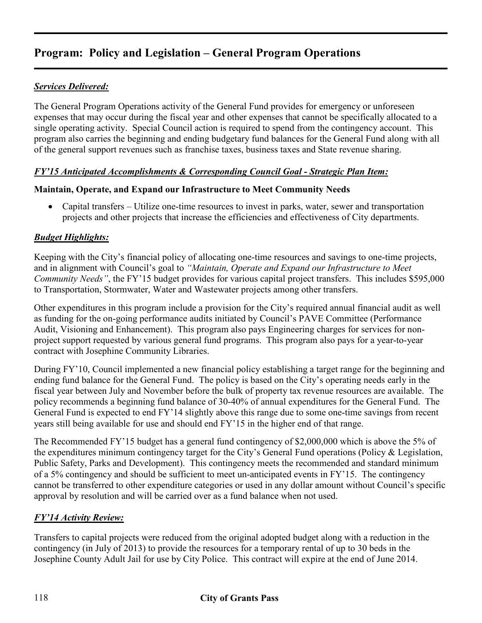## **Program: Policy and Legislation – General Program Operations**

### *Services Delivered:*

The General Program Operations activity of the General Fund provides for emergency or unforeseen expenses that may occur during the fiscal year and other expenses that cannot be specifically allocated to a single operating activity. Special Council action is required to spend from the contingency account. This program also carries the beginning and ending budgetary fund balances for the General Fund along with all of the general support revenues such as franchise taxes, business taxes and State revenue sharing.

#### *FY'15 Anticipated Accomplishments & Corresponding Council Goal - Strategic Plan Item:*

#### **Maintain, Operate, and Expand our Infrastructure to Meet Community Needs**

• Capital transfers – Utilize one-time resources to invest in parks, water, sewer and transportation projects and other projects that increase the efficiencies and effectiveness of City departments.

#### *Budget Highlights:*

Keeping with the City's financial policy of allocating one-time resources and savings to one-time projects, and in alignment with Council's goal to *"Maintain, Operate and Expand our Infrastructure to Meet Community Needs"*, the FY'15 budget provides for various capital project transfers. This includes \$595,000 to Transportation, Stormwater, Water and Wastewater projects among other transfers.

Other expenditures in this program include a provision for the City's required annual financial audit as well as funding for the on-going performance audits initiated by Council's PAVE Committee (Performance Audit, Visioning and Enhancement). This program also pays Engineering charges for services for nonproject support requested by various general fund programs. This program also pays for a year-to-year contract with Josephine Community Libraries.

During FY'10, Council implemented a new financial policy establishing a target range for the beginning and ending fund balance for the General Fund. The policy is based on the City's operating needs early in the fiscal year between July and November before the bulk of property tax revenue resources are available. The policy recommends a beginning fund balance of 30-40% of annual expenditures for the General Fund. The General Fund is expected to end FY'14 slightly above this range due to some one-time savings from recent years still being available for use and should end FY'15 in the higher end of that range.

The Recommended FY'15 budget has a general fund contingency of \$2,000,000 which is above the 5% of the expenditures minimum contingency target for the City's General Fund operations (Policy & Legislation, Public Safety, Parks and Development). This contingency meets the recommended and standard minimum of a 5% contingency and should be sufficient to meet un-anticipated events in FY'15. The contingency cannot be transferred to other expenditure categories or used in any dollar amount without Council's specific approval by resolution and will be carried over as a fund balance when not used.

#### *FY'14 Activity Review:*

Transfers to capital projects were reduced from the original adopted budget along with a reduction in the contingency (in July of 2013) to provide the resources for a temporary rental of up to 30 beds in the Josephine County Adult Jail for use by City Police. This contract will expire at the end of June 2014.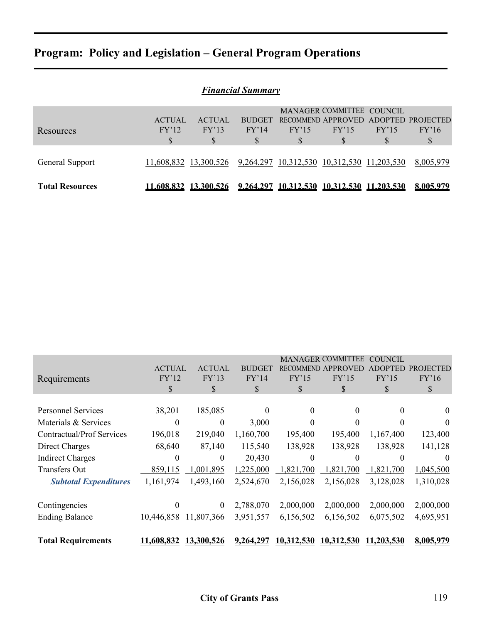# **Program: Policy and Legislation – General Program Operations**

| <b>Financial Summary</b> |               |                       |                  |                                            |                                                 |            |                   |  |
|--------------------------|---------------|-----------------------|------------------|--------------------------------------------|-------------------------------------------------|------------|-------------------|--|
|                          | <b>ACTUAL</b> | <b>ACTUAL</b>         | <b>BUDGET</b>    |                                            | MANAGER COMMITTEE COUNCIL<br>RECOMMEND APPROVED |            | ADOPTED PROJECTED |  |
| Resources                | FY'12<br>\$   | FY'13<br>\$           | FY'14<br>S       | FY'15<br>S                                 | FY'15<br>\$                                     | FY'15<br>S | FY'16<br>S        |  |
| General Support          |               | 11,608,832 13,300,526 |                  | 9,264,297 10,312,530 10,312,530 11,203,530 |                                                 |            | 8,005,979         |  |
| <b>Total Resources</b>   | 11.608.832    | <b>13.300.526</b>     | <u>9.264.297</u> |                                            | 10,312,530 10,312,530 11,203,530                |            | 8.005.979         |  |

| Requirements                     | <b>ACTUAL</b><br>FY'12<br>\$ | <b>ACTUAL</b><br>FY'13<br>\$ | <b>BUDGET</b><br>FY'14<br>\$ | RECOMME<br>FY'15<br>\$ | MANAGER COMMITTEE<br>FY'15<br>\$ | COUNCIL<br>FY'15<br>\$ | CTED<br>FY'16<br>\$ |
|----------------------------------|------------------------------|------------------------------|------------------------------|------------------------|----------------------------------|------------------------|---------------------|
| <b>Personnel Services</b>        | 38,201                       | 185,085                      | $\Omega$                     | 0                      | $\Omega$                         | $\theta$               | $\theta$            |
| Materials & Services             | $\theta$                     | $\theta$                     | 3,000                        | $\Omega$               | $\Omega$                         |                        | $\theta$            |
| <b>Contractual/Prof Services</b> | 196,018                      | 219,040                      | 1,160,700                    | 195,400                | 195,400                          | 1,167,400              | 123,400             |
| Direct Charges                   | 68,640                       | 87,140                       | 115,540                      | 138,928                | 138,928                          | 138,928                | 141,128             |
| <b>Indirect Charges</b>          | $\theta$                     | $\theta$                     | 20,430                       | 0                      | $\Omega$                         | $\Omega$               | $\theta$            |
| <b>Transfers Out</b>             | 859,115                      | ,001,895                     | 1,225,000                    | 1,821,700              | 1,821,700                        | 1,821,700              | 1,045,500           |
| <b>Subtotal Expenditures</b>     | 1,161,974                    | 1,493,160                    | 2,524,670                    | 2,156,028              | 2,156,028                        | 3,128,028              | 1,310,028           |
| Contingencies                    | $\theta$                     | $\boldsymbol{0}$             | 2,788,070                    | 2,000,000              | 2,000,000                        | 2,000,000              | 2,000,000           |
| <b>Ending Balance</b>            | 10,446,858                   | 11,807,366                   | 3,951,557                    | 6,156,502              | 6,156,502                        | 6,075,502              | 4,695,951           |
| <b>Total Requirements</b>        | 11,608,832                   | 13,300,526                   | 9,264,297                    | 10,312,530             | 10.312.530                       | 11.203.530             | 8.005.979           |